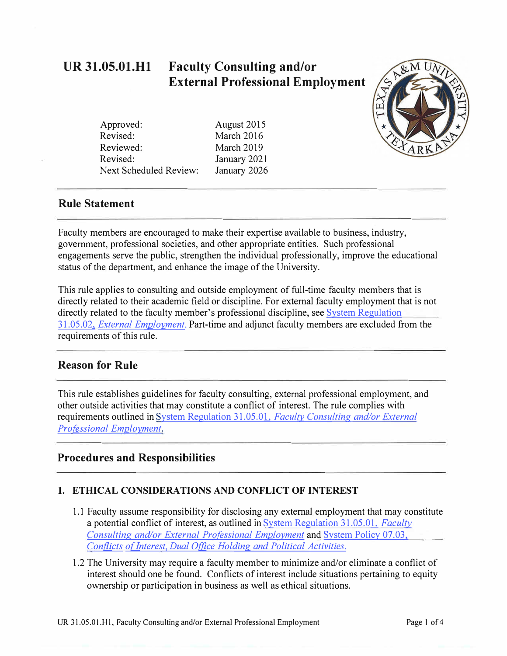#### **UR 31.05.01.Hl Faculty Consulting and/or External Professional Employment**

Approved: Revised: Reviewed: Revised: Next Scheduled Review: August 2015 March 2016 March 2019 January 2021 January 2026

#### **Rule Statement**

Faculty members are encouraged to make their expertise available to business, industry, government, professional societies, and other appropriate entities. Such professional engagements serve the public, strengthen the individual professionally, improve the educational status of the department, and enhance the image of the University.

This rule applies to consulting and outside employment of full-time faculty members that is directly related to their academic field or discipline. For external faculty employment that is not directly related to the faculty member's professional discipline, see [System Regulation](https://policies.tamus.edu/31-05-02.pdf)  31.05.02, *[External Employment.](https://policies.tamus.edu/31-05-02.pdf)* Part-time and adjunct faculty members are excluded from the requirements of this rule.

#### **Reason for Rule**

This rule establishes guidelines for faculty consulting, external professional employment, and other outside activities that may constitute a conflict of interest. The rule complies with requirements outlined in System Regulation 31.05.01, *[Faculty Consulting and/or External](https://policies.tamus.edu/31-05-01.pdf)  [Professional Employment.](https://policies.tamus.edu/31-05-01.pdf)* 

#### **Procedures and Responsibilities**

#### **1. ETHICAL CONSIDERATIONS AND CONFLICT OF INTEREST**

- 1.1 Faculty assume responsibility for disclosing any external employment that may constitute a potential conflict of interest, as outlined in [System Regulation 31.05.01,](https://policies.tamus.edu/31-05-01.pdf) *Faculty [Consulting and/or External Professional Employment](https://policies.tamus.edu/31-05-01.pdf)* and [System Policy 07.03,](https://policies.tamus.edu/07-03.pdf)  *Conflicts of Interest, Dual Office Holding and Political Activities.*
- 1.2 The University may require a faculty member to minimize and/or eliminate a conflict of interest should one be found. Conflicts of interest include situations pertaining to equity ownership or participation in business as well as ethical situations.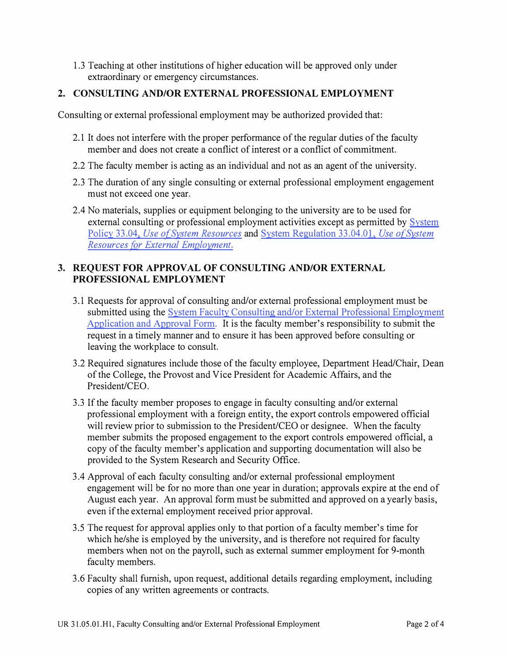1.3 Teaching at other institutions of higher education will be approved only under extraordinary or emergency circumstances.

#### **2. CONSULTING AND/OR EXTERNAL PROFESSIONAL EMPLOYMENT**

Consulting or external professional employment may be authorized provided that:

- 2.1 It does not interfere with the proper performance of the regular duties of the faculty member and does not create a conflict of interest or a conflict of commitment.
- 2.2 The faculty member is acting as an individual and not as an agent of the university.
- 2.3 The duration of any single consulting or external professional employment engagement must not exceed one year.
- 2.4 No materials, supplies or equipment belonging to the university are to be used for external consulting or professional employment activities except as permitted by System Policy 33.04, *Use of System Resources* and [System Regulation 33.04.01,](https://policies.tamus.edu/33-04-01.pdf) *Use of System [Resources for External Employment.](https://policies.tamus.edu/33-04-01.pdf)*

#### **3. REQUEST FOR APPROVAL OF CONSULTING AND/OR EXTERNAL PROFESSIONAL EMPLOYMENT**

- 3.1 Requests for approval of consulting and/or external professional employment must be submitted using the System Faculty Consulting and/or External Professional Employment [Application and Approval Form.](https://assets.system.tamus.edu/files/policy/pdf/ExternalEmploymentForm.pdf) It is the faculty member's responsibility to submit the request in a timely manner and to ensure it has been approved before consulting or leaving the workplace to consult.
- 3.2 Required signatures include those of the faculty employee, Department Head/Chair, Dean of the College, the Provost and Vice President for Academic Affairs, and the President/CEO.
- 3.3 If the faculty member proposes to engage in faculty consulting and/or external professional employment with a foreign entity, the export controls empowered official will review prior to submission to the President/CEO or designee. When the faculty member submits the proposed engagement to the export controls empowered official, a copy of the faculty member's application and supporting documentation will also be provided to the System Research and Security Office.
- 3.4 Approval of each faculty consulting and/or external professional employment engagement will be for no more than one year in duration; approvals expire at the end of August each year. An approval form must be submitted and approved on a yearly basis, even if the external employment received prior approval.
- 3.5 The request for approval applies only to that portion of a faculty member's time for which he/she is employed by the university, and is therefore not required for faculty members when not on the payroll, such as external summer employment for 9-month faculty members.
- 3.6 Faculty shall furnish, upon request, additional details regarding employment, including copies of any written agreements or contracts.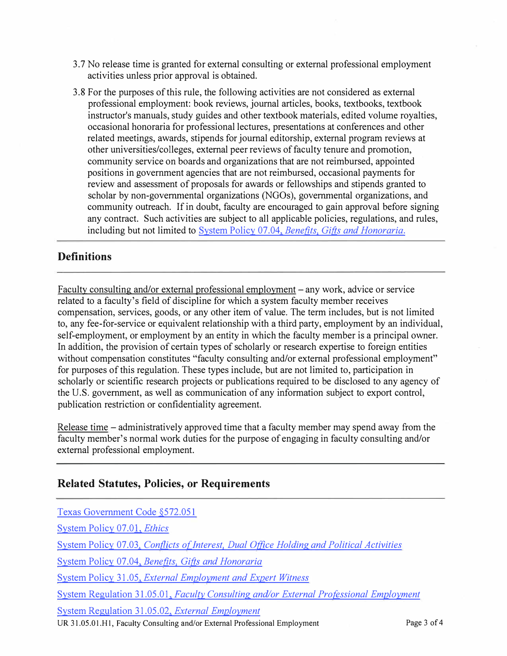- 3. 7 No release time is granted for external consulting or external professional employment activities unless prior approval is obtained.
- 3.8 For the purposes of this rule, the following activities are not considered as external professional employment: book reviews, journal articles, books, textbooks, textbook instructor's manuals, study guides and other textbook materials, edited volume royalties, occasional honoraria for professional lectures, presentations at conferences and other related meetings, awards, stipends for journal editorship, external program reviews at other universities/colleges, external peer reviews of faculty tenure and promotion, community service on boards and organizations that are not reimbursed, appointed positions in government agencies that are not reimbursed, occasional payments for review and assessment of proposals for awards or fellowships and stipends granted to scholar by non-governmental organizations (NGOs), governmental organizations, and community outreach. If in doubt, faculty are encouraged to gain approval before signing any contract. Such activities are subject to all applicable policies, regulations, and rules, including but not limited to System Policy 07.04, *[Benefits, Gifts and Honoraria](https://policies.tamus.edu/07-04.pdf).*

### **Definitions**

Faculty consulting and/or external professional employment - any work, advice or service related to a faculty's field of discipline for which a system faculty member receives compensation, services, goods, or any other item of value. The term includes, but is not limited to, any fee-for-service or equivalent relationship with a third party, employment by an individual, self-employment, or employment by an entity in which the faculty member is a principal owner. In addition, the provision of certain types of scholarly or research expertise to foreign entities without compensation constitutes "faculty consulting and/or external professional employment" for purposes of this regulation. These types include, but are not limited to, participation in scholarly or scientific research projects or publications required to be disclosed to any agency of the U.S. government, as well as communication of any information subject to export control, publication restriction or confidentiality agreement.

Release time – administratively approved time that a faculty member may spend away from the faculty member's normal work duties for the purpose of engaging in faculty consulting and/or external professional employment.

## **Related Statutes, Policies, or Requirements**

| Texas Government Code §572.051                                                           |             |
|------------------------------------------------------------------------------------------|-------------|
| System Policy 07.01, <i>Ethics</i>                                                       |             |
| System Policy 07.03, Conflicts of Interest, Dual Office Holding and Political Activities |             |
| System Policy 07.04, Benefits, Gifts and Honoraria                                       |             |
| System Policy 31.05, External Employment and Expert Witness                              |             |
| System Regulation 31.05.01, Faculty Consulting and/or External Professional Employment   |             |
| System Regulation 31.05.02, <i>External Employment</i>                                   |             |
| UR 31.05.01.H1, Faculty Consulting and/or External Professional Employment               | Page 3 of 4 |